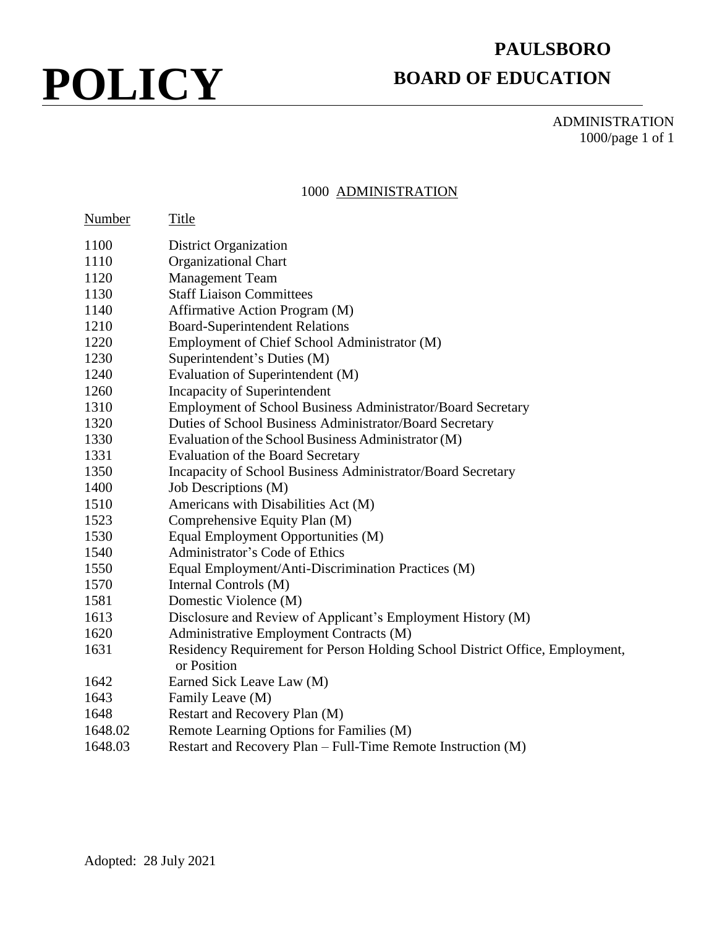## **PAULSBORO BOARD OF EDUCATION**

ADMINISTRATION 1000/page 1 of 1

#### 1000 ADMINISTRATION

| Number  | Title                                                                                       |
|---------|---------------------------------------------------------------------------------------------|
| 1100    | <b>District Organization</b>                                                                |
| 1110    | Organizational Chart                                                                        |
| 1120    | <b>Management Team</b>                                                                      |
| 1130    | <b>Staff Liaison Committees</b>                                                             |
| 1140    | Affirmative Action Program (M)                                                              |
| 1210    | <b>Board-Superintendent Relations</b>                                                       |
| 1220    | Employment of Chief School Administrator (M)                                                |
| 1230    | Superintendent's Duties (M)                                                                 |
| 1240    | Evaluation of Superintendent (M)                                                            |
| 1260    | Incapacity of Superintendent                                                                |
| 1310    | Employment of School Business Administrator/Board Secretary                                 |
| 1320    | Duties of School Business Administrator/Board Secretary                                     |
| 1330    | Evaluation of the School Business Administrator (M)                                         |
| 1331    | <b>Evaluation of the Board Secretary</b>                                                    |
| 1350    | Incapacity of School Business Administrator/Board Secretary                                 |
| 1400    | Job Descriptions (M)                                                                        |
| 1510    | Americans with Disabilities Act (M)                                                         |
| 1523    | Comprehensive Equity Plan (M)                                                               |
| 1530    | Equal Employment Opportunities (M)                                                          |
| 1540    | Administrator's Code of Ethics                                                              |
| 1550    | Equal Employment/Anti-Discrimination Practices (M)                                          |
| 1570    | Internal Controls (M)                                                                       |
| 1581    | Domestic Violence (M)                                                                       |
| 1613    | Disclosure and Review of Applicant's Employment History (M)                                 |
| 1620    | Administrative Employment Contracts (M)                                                     |
| 1631    | Residency Requirement for Person Holding School District Office, Employment,<br>or Position |
| 1642    | Earned Sick Leave Law (M)                                                                   |
| 1643    | Family Leave (M)                                                                            |
| 1648    | Restart and Recovery Plan (M)                                                               |
| 1648.02 | Remote Learning Options for Families (M)                                                    |
| 1648.03 | Restart and Recovery Plan – Full-Time Remote Instruction (M)                                |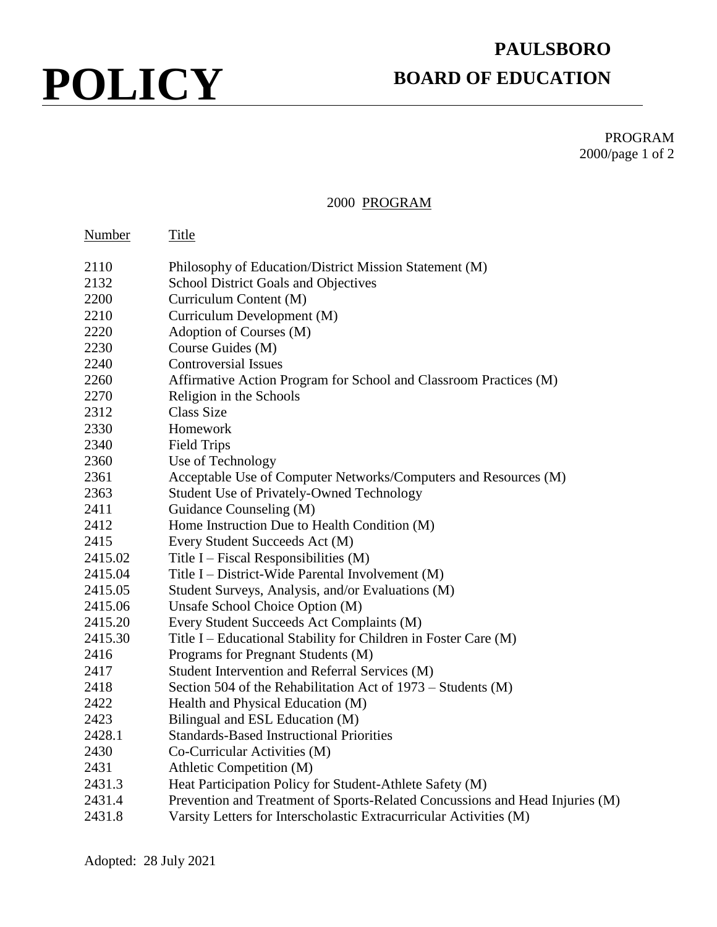## **PAULSBORO BOARD OF EDUCATION**

PROGRAM 2000/page 1 of 2

### 2000 PROGRAM

| Number  | Title                                                                        |
|---------|------------------------------------------------------------------------------|
| 2110    | Philosophy of Education/District Mission Statement (M)                       |
| 2132    | <b>School District Goals and Objectives</b>                                  |
| 2200    | Curriculum Content (M)                                                       |
| 2210    | Curriculum Development (M)                                                   |
| 2220    | Adoption of Courses (M)                                                      |
| 2230    | Course Guides (M)                                                            |
| 2240    | <b>Controversial Issues</b>                                                  |
| 2260    | Affirmative Action Program for School and Classroom Practices (M)            |
| 2270    | Religion in the Schools                                                      |
| 2312    | <b>Class Size</b>                                                            |
| 2330    | Homework                                                                     |
| 2340    | <b>Field Trips</b>                                                           |
| 2360    | Use of Technology                                                            |
| 2361    | Acceptable Use of Computer Networks/Computers and Resources (M)              |
| 2363    | <b>Student Use of Privately-Owned Technology</b>                             |
| 2411    | Guidance Counseling (M)                                                      |
| 2412    | Home Instruction Due to Health Condition (M)                                 |
| 2415    | Every Student Succeeds Act (M)                                               |
| 2415.02 | Title $I$ – Fiscal Responsibilities (M)                                      |
| 2415.04 | Title I – District-Wide Parental Involvement $(M)$                           |
| 2415.05 | Student Surveys, Analysis, and/or Evaluations (M)                            |
| 2415.06 | Unsafe School Choice Option (M)                                              |
| 2415.20 | Every Student Succeeds Act Complaints (M)                                    |
| 2415.30 | Title I – Educational Stability for Children in Foster Care (M)              |
| 2416    | Programs for Pregnant Students (M)                                           |
| 2417    | Student Intervention and Referral Services (M)                               |
| 2418    | Section 504 of the Rehabilitation Act of $1973 -$ Students (M)               |
| 2422    | Health and Physical Education (M)                                            |
| 2423    | Bilingual and ESL Education (M)                                              |
| 2428.1  | <b>Standards-Based Instructional Priorities</b>                              |
| 2430    | Co-Curricular Activities (M)                                                 |
| 2431    | Athletic Competition (M)                                                     |
| 2431.3  | Heat Participation Policy for Student-Athlete Safety (M)                     |
| 2431.4  | Prevention and Treatment of Sports-Related Concussions and Head Injuries (M) |
| 2431.8  | Varsity Letters for Interscholastic Extracurricular Activities (M)           |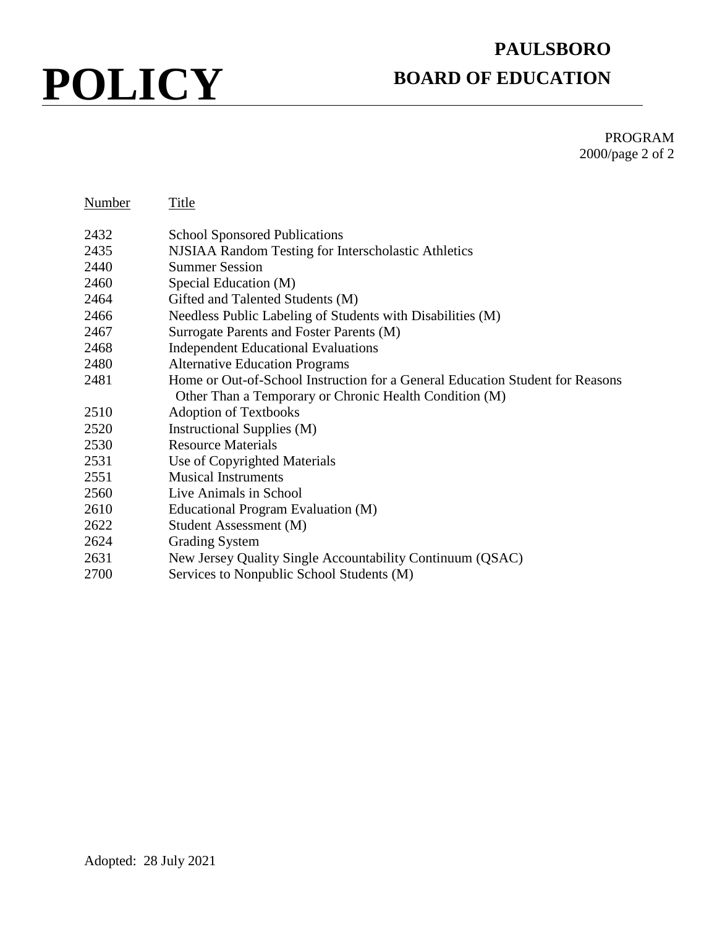## **PAULSBORO BOARD OF EDUCATION**

PROGRAM 2000/page 2 of 2

| Number | Title                                                                         |
|--------|-------------------------------------------------------------------------------|
| 2432   | <b>School Sponsored Publications</b>                                          |
| 2435   | NJSIAA Random Testing for Interscholastic Athletics                           |
| 2440   | <b>Summer Session</b>                                                         |
| 2460   | Special Education (M)                                                         |
| 2464   | Gifted and Talented Students (M)                                              |
| 2466   | Needless Public Labeling of Students with Disabilities (M)                    |
| 2467   | Surrogate Parents and Foster Parents (M)                                      |
| 2468   | <b>Independent Educational Evaluations</b>                                    |
| 2480   | <b>Alternative Education Programs</b>                                         |
| 2481   | Home or Out-of-School Instruction for a General Education Student for Reasons |
|        | Other Than a Temporary or Chronic Health Condition (M)                        |
| 2510   | <b>Adoption of Textbooks</b>                                                  |
| 2520   | Instructional Supplies (M)                                                    |
| 2530   | <b>Resource Materials</b>                                                     |
| 2531   | Use of Copyrighted Materials                                                  |
| 2551   | <b>Musical Instruments</b>                                                    |
| 2560   | Live Animals in School                                                        |
| 2610   | Educational Program Evaluation (M)                                            |
| 2622   | Student Assessment (M)                                                        |
| 2624   | <b>Grading System</b>                                                         |
| 2631   | New Jersey Quality Single Accountability Continuum (QSAC)                     |
| 2700   | Services to Nonpublic School Students (M)                                     |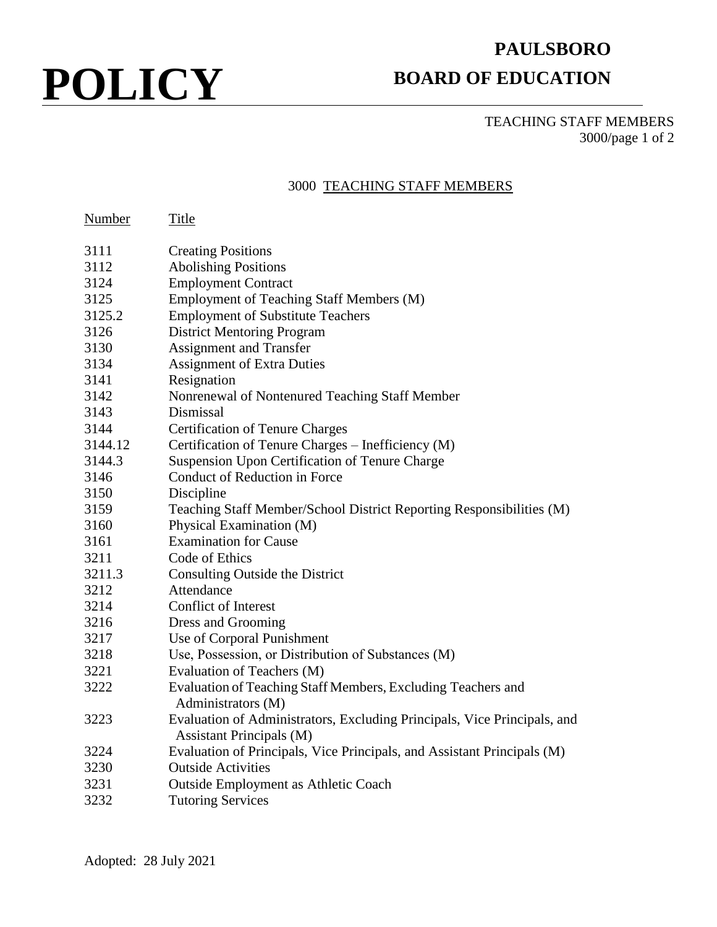## **PAULSBORO BOARD OF EDUCATION**

### TEACHING STAFF MEMBERS 3000/page 1 of 2

### 3000 TEACHING STAFF MEMBERS

| Number  | Title                                                                                                       |
|---------|-------------------------------------------------------------------------------------------------------------|
| 3111    | <b>Creating Positions</b>                                                                                   |
| 3112    | <b>Abolishing Positions</b>                                                                                 |
| 3124    | <b>Employment Contract</b>                                                                                  |
| 3125    | Employment of Teaching Staff Members (M)                                                                    |
| 3125.2  | <b>Employment of Substitute Teachers</b>                                                                    |
| 3126    | <b>District Mentoring Program</b>                                                                           |
| 3130    | <b>Assignment and Transfer</b>                                                                              |
| 3134    | <b>Assignment of Extra Duties</b>                                                                           |
| 3141    | Resignation                                                                                                 |
| 3142    | Nonrenewal of Nontenured Teaching Staff Member                                                              |
| 3143    | Dismissal                                                                                                   |
| 3144    | <b>Certification of Tenure Charges</b>                                                                      |
| 3144.12 | Certification of Tenure Charges - Inefficiency (M)                                                          |
| 3144.3  | Suspension Upon Certification of Tenure Charge                                                              |
| 3146    | Conduct of Reduction in Force                                                                               |
| 3150    | Discipline                                                                                                  |
| 3159    | Teaching Staff Member/School District Reporting Responsibilities (M)                                        |
| 3160    | Physical Examination (M)                                                                                    |
| 3161    | <b>Examination for Cause</b>                                                                                |
| 3211    | Code of Ethics                                                                                              |
| 3211.3  | Consulting Outside the District                                                                             |
| 3212    | Attendance                                                                                                  |
| 3214    | <b>Conflict of Interest</b>                                                                                 |
| 3216    | Dress and Grooming                                                                                          |
| 3217    | Use of Corporal Punishment                                                                                  |
| 3218    | Use, Possession, or Distribution of Substances (M)                                                          |
| 3221    | Evaluation of Teachers (M)                                                                                  |
| 3222    | Evaluation of Teaching Staff Members, Excluding Teachers and<br>Administrators (M)                          |
| 3223    | Evaluation of Administrators, Excluding Principals, Vice Principals, and<br><b>Assistant Principals (M)</b> |
| 3224    | Evaluation of Principals, Vice Principals, and Assistant Principals (M)                                     |
| 3230    | <b>Outside Activities</b>                                                                                   |
| 3231    | <b>Outside Employment as Athletic Coach</b>                                                                 |
| 3232    | <b>Tutoring Services</b>                                                                                    |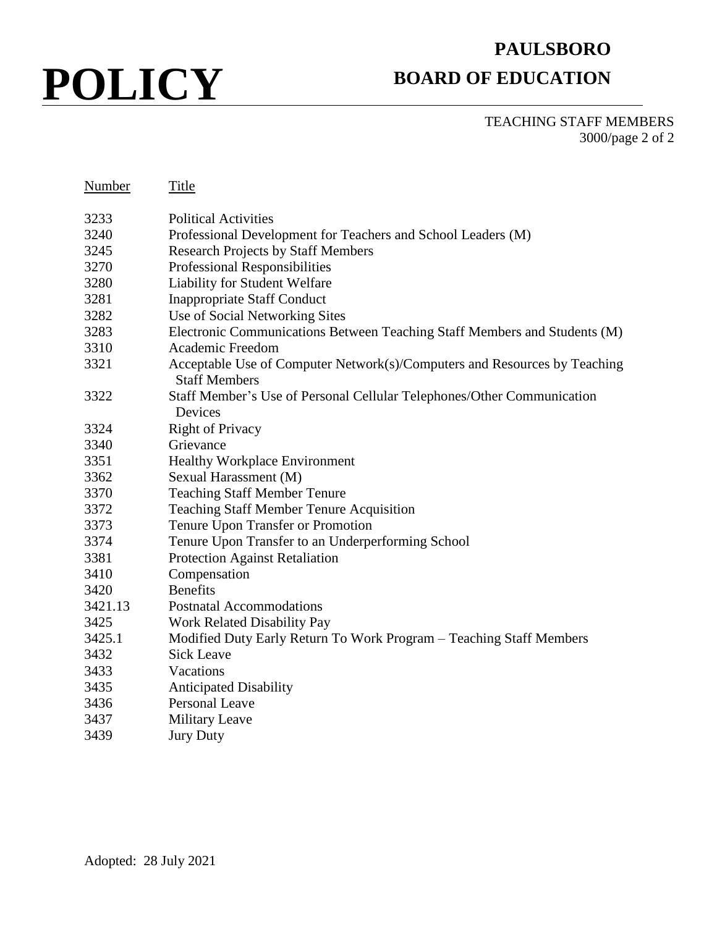## **PAULSBORO BOARD OF EDUCATION**

TEACHING STAFF MEMBERS 3000/page 2 of 2

| Number  | Title                                                                                             |
|---------|---------------------------------------------------------------------------------------------------|
| 3233    | <b>Political Activities</b>                                                                       |
| 3240    | Professional Development for Teachers and School Leaders (M)                                      |
| 3245    | <b>Research Projects by Staff Members</b>                                                         |
| 3270    | Professional Responsibilities                                                                     |
| 3280    | <b>Liability for Student Welfare</b>                                                              |
| 3281    | <b>Inappropriate Staff Conduct</b>                                                                |
| 3282    | Use of Social Networking Sites                                                                    |
| 3283    | Electronic Communications Between Teaching Staff Members and Students (M)                         |
| 3310    | Academic Freedom                                                                                  |
| 3321    | Acceptable Use of Computer Network(s)/Computers and Resources by Teaching<br><b>Staff Members</b> |
| 3322    | Staff Member's Use of Personal Cellular Telephones/Other Communication<br>Devices                 |
| 3324    | <b>Right of Privacy</b>                                                                           |
| 3340    | Grievance                                                                                         |
| 3351    | <b>Healthy Workplace Environment</b>                                                              |
| 3362    | Sexual Harassment (M)                                                                             |
| 3370    | <b>Teaching Staff Member Tenure</b>                                                               |
| 3372    | <b>Teaching Staff Member Tenure Acquisition</b>                                                   |
| 3373    | Tenure Upon Transfer or Promotion                                                                 |
| 3374    | Tenure Upon Transfer to an Underperforming School                                                 |
| 3381    | Protection Against Retaliation                                                                    |
| 3410    | Compensation                                                                                      |
| 3420    | <b>Benefits</b>                                                                                   |
| 3421.13 | <b>Postnatal Accommodations</b>                                                                   |
| 3425    | <b>Work Related Disability Pay</b>                                                                |
| 3425.1  | Modified Duty Early Return To Work Program - Teaching Staff Members                               |
| 3432    | <b>Sick Leave</b>                                                                                 |
| 3433    | Vacations                                                                                         |
| 3435    | <b>Anticipated Disability</b>                                                                     |
| 3436    | <b>Personal Leave</b>                                                                             |
| 3437    | <b>Military Leave</b>                                                                             |
| 3439    | <b>Jury Duty</b>                                                                                  |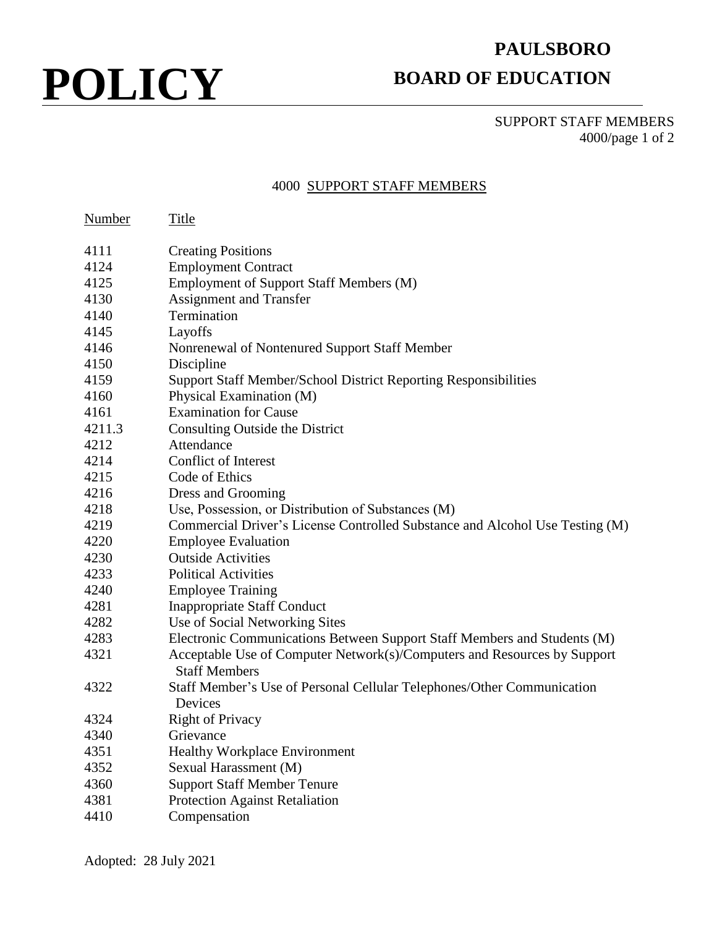## **PAULSBORO BOARD OF EDUCATION**

### SUPPORT STAFF MEMBERS 4000/page 1 of 2

### 4000 SUPPORT STAFF MEMBERS

| Number | Title                                                                                            |
|--------|--------------------------------------------------------------------------------------------------|
| 4111   | <b>Creating Positions</b>                                                                        |
| 4124   | <b>Employment Contract</b>                                                                       |
| 4125   | Employment of Support Staff Members (M)                                                          |
| 4130   | <b>Assignment and Transfer</b>                                                                   |
| 4140   | Termination                                                                                      |
| 4145   | Layoffs                                                                                          |
| 4146   | Nonrenewal of Nontenured Support Staff Member                                                    |
| 4150   | Discipline                                                                                       |
| 4159   | Support Staff Member/School District Reporting Responsibilities                                  |
| 4160   | Physical Examination (M)                                                                         |
| 4161   | <b>Examination for Cause</b>                                                                     |
| 4211.3 | Consulting Outside the District                                                                  |
| 4212   | Attendance                                                                                       |
| 4214   | <b>Conflict of Interest</b>                                                                      |
| 4215   | Code of Ethics                                                                                   |
| 4216   | Dress and Grooming                                                                               |
| 4218   | Use, Possession, or Distribution of Substances (M)                                               |
| 4219   | Commercial Driver's License Controlled Substance and Alcohol Use Testing (M)                     |
| 4220   | <b>Employee Evaluation</b>                                                                       |
| 4230   | <b>Outside Activities</b>                                                                        |
| 4233   | <b>Political Activities</b>                                                                      |
| 4240   | <b>Employee Training</b>                                                                         |
| 4281   | <b>Inappropriate Staff Conduct</b>                                                               |
| 4282   | Use of Social Networking Sites                                                                   |
| 4283   | Electronic Communications Between Support Staff Members and Students (M)                         |
| 4321   | Acceptable Use of Computer Network(s)/Computers and Resources by Support<br><b>Staff Members</b> |
| 4322   | Staff Member's Use of Personal Cellular Telephones/Other Communication<br>Devices                |
| 4324   | <b>Right of Privacy</b>                                                                          |
| 4340   | Grievance                                                                                        |
| 4351   | Healthy Workplace Environment                                                                    |
| 4352   | Sexual Harassment (M)                                                                            |
| 4360   | <b>Support Staff Member Tenure</b>                                                               |
| 4381   | <b>Protection Against Retaliation</b>                                                            |
| 4410   | Compensation                                                                                     |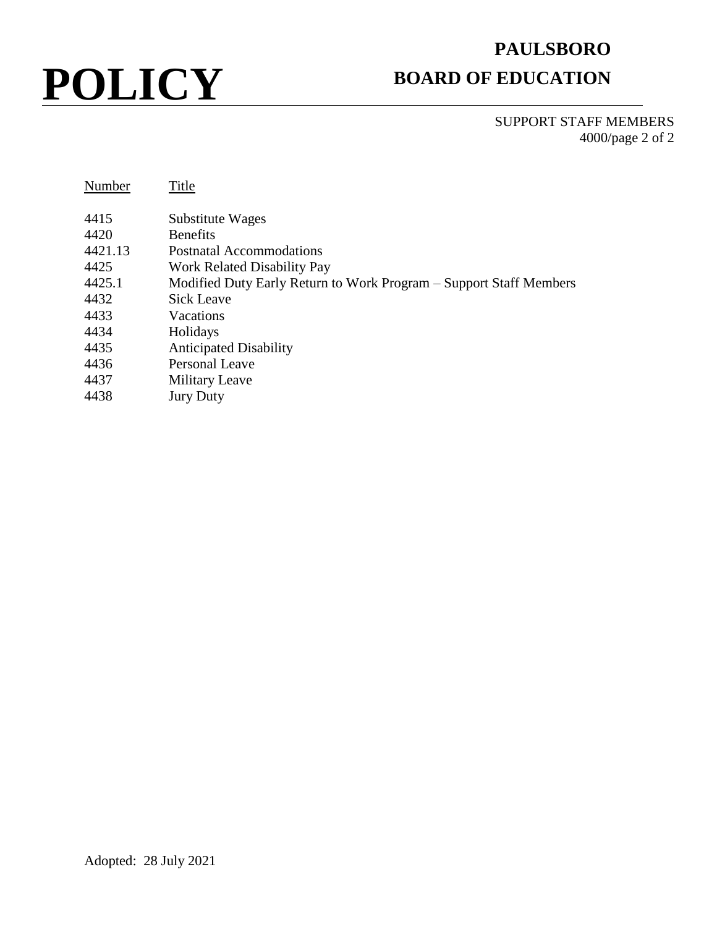## **PAULSBORO BOARD OF EDUCATION**

SUPPORT STAFF MEMBERS 4000/page 2 of 2

| Number       | Title                                                              |
|--------------|--------------------------------------------------------------------|
| 4415<br>4420 | Substitute Wages<br><b>Benefits</b>                                |
| 4421.13      | Postnatal Accommodations                                           |
| 4425         | <b>Work Related Disability Pay</b>                                 |
| 4425.1       | Modified Duty Early Return to Work Program – Support Staff Members |
| 4432         | <b>Sick Leave</b>                                                  |
| 4433         | Vacations                                                          |
| 4434         | Holidays                                                           |
| 4435         | <b>Anticipated Disability</b>                                      |
| 4436         | Personal Leave                                                     |
| 4437         | <b>Military Leave</b>                                              |
| 4438         | <b>Jury Duty</b>                                                   |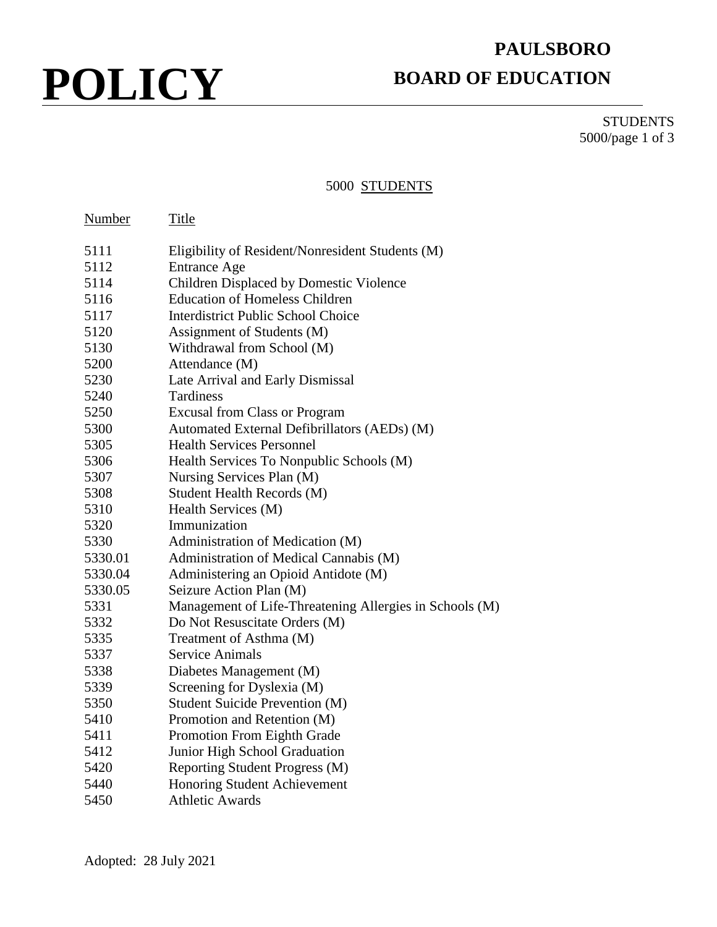## **PAULSBORO BOARD OF EDUCATION**

**STUDENTS** 5000/page 1 of 3

### 5000 STUDENTS

| Number  | <b>Title</b>                                            |
|---------|---------------------------------------------------------|
| 5111    | Eligibility of Resident/Nonresident Students (M)        |
| 5112    | <b>Entrance Age</b>                                     |
| 5114    | Children Displaced by Domestic Violence                 |
| 5116    | <b>Education of Homeless Children</b>                   |
| 5117    | <b>Interdistrict Public School Choice</b>               |
| 5120    | Assignment of Students (M)                              |
| 5130    | Withdrawal from School (M)                              |
| 5200    | Attendance (M)                                          |
| 5230    | Late Arrival and Early Dismissal                        |
| 5240    | Tardiness                                               |
| 5250    | <b>Excusal from Class or Program</b>                    |
| 5300    | Automated External Defibrillators (AEDs) (M)            |
| 5305    | <b>Health Services Personnel</b>                        |
| 5306    | Health Services To Nonpublic Schools (M)                |
| 5307    | Nursing Services Plan (M)                               |
| 5308    | Student Health Records (M)                              |
| 5310    | Health Services (M)                                     |
| 5320    | Immunization                                            |
| 5330    | Administration of Medication (M)                        |
| 5330.01 | Administration of Medical Cannabis (M)                  |
| 5330.04 | Administering an Opioid Antidote (M)                    |
| 5330.05 | Seizure Action Plan (M)                                 |
| 5331    | Management of Life-Threatening Allergies in Schools (M) |
| 5332    | Do Not Resuscitate Orders (M)                           |
| 5335    | Treatment of Asthma (M)                                 |
| 5337    | <b>Service Animals</b>                                  |
| 5338    | Diabetes Management (M)                                 |
| 5339    | Screening for Dyslexia (M)                              |
| 5350    | Student Suicide Prevention (M)                          |
| 5410    | Promotion and Retention (M)                             |
| 5411    | Promotion From Eighth Grade                             |
| 5412    | Junior High School Graduation                           |
| 5420    | Reporting Student Progress (M)                          |
| 5440    | Honoring Student Achievement                            |
| 5450    | <b>Athletic Awards</b>                                  |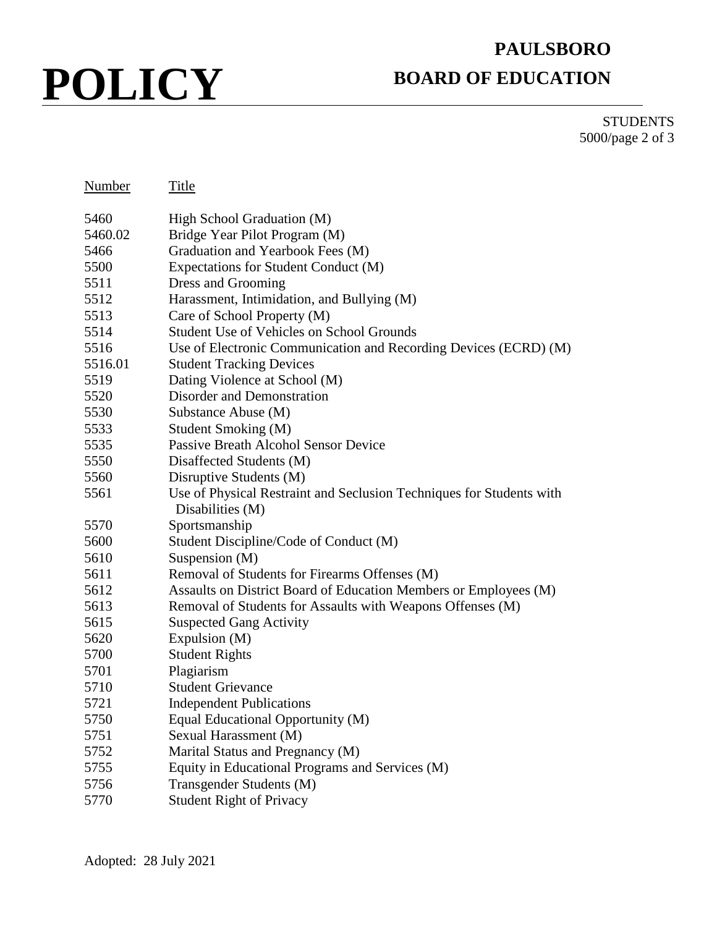## **PAULSBORO BOARD OF EDUCATION**

**STUDENTS** 5000/page 2 of 3

| Number       | <b>Title</b>                                                                                                      |
|--------------|-------------------------------------------------------------------------------------------------------------------|
| 5460         | High School Graduation (M)                                                                                        |
| 5460.02      | Bridge Year Pilot Program (M)                                                                                     |
| 5466         | Graduation and Yearbook Fees (M)                                                                                  |
| 5500         | Expectations for Student Conduct (M)                                                                              |
| 5511         | Dress and Grooming                                                                                                |
| 5512         | Harassment, Intimidation, and Bullying (M)                                                                        |
| 5513         | Care of School Property (M)                                                                                       |
| 5514         | <b>Student Use of Vehicles on School Grounds</b>                                                                  |
| 5516         | Use of Electronic Communication and Recording Devices (ECRD) (M)                                                  |
| 5516.01      | <b>Student Tracking Devices</b>                                                                                   |
| 5519         | Dating Violence at School (M)                                                                                     |
| 5520         | Disorder and Demonstration                                                                                        |
| 5530         | Substance Abuse (M)                                                                                               |
| 5533         | Student Smoking (M)                                                                                               |
| 5535         | Passive Breath Alcohol Sensor Device                                                                              |
| 5550         | Disaffected Students (M)                                                                                          |
| 5560         | Disruptive Students (M)                                                                                           |
| 5561         | Use of Physical Restraint and Seclusion Techniques for Students with                                              |
|              | Disabilities (M)                                                                                                  |
| 5570         | Sportsmanship                                                                                                     |
| 5600<br>5610 | Student Discipline/Code of Conduct (M)<br>Suspension (M)                                                          |
| 5611         |                                                                                                                   |
| 5612         | Removal of Students for Firearms Offenses (M)<br>Assaults on District Board of Education Members or Employees (M) |
| 5613         |                                                                                                                   |
| 5615         | Removal of Students for Assaults with Weapons Offenses (M)                                                        |
| 5620         | <b>Suspected Gang Activity</b><br>Expulsion (M)                                                                   |
| 5700         | <b>Student Rights</b>                                                                                             |
| 5701         | Plagiarism                                                                                                        |
| 5710         | <b>Student Grievance</b>                                                                                          |
| 5721         | <b>Independent Publications</b>                                                                                   |
| 5750         | Equal Educational Opportunity (M)                                                                                 |
| 5751         | Sexual Harassment (M)                                                                                             |
| 5752         | Marital Status and Pregnancy (M)                                                                                  |
| 5755         | Equity in Educational Programs and Services (M)                                                                   |
| 5756         | Transgender Students (M)                                                                                          |
| 5770         | <b>Student Right of Privacy</b>                                                                                   |
|              |                                                                                                                   |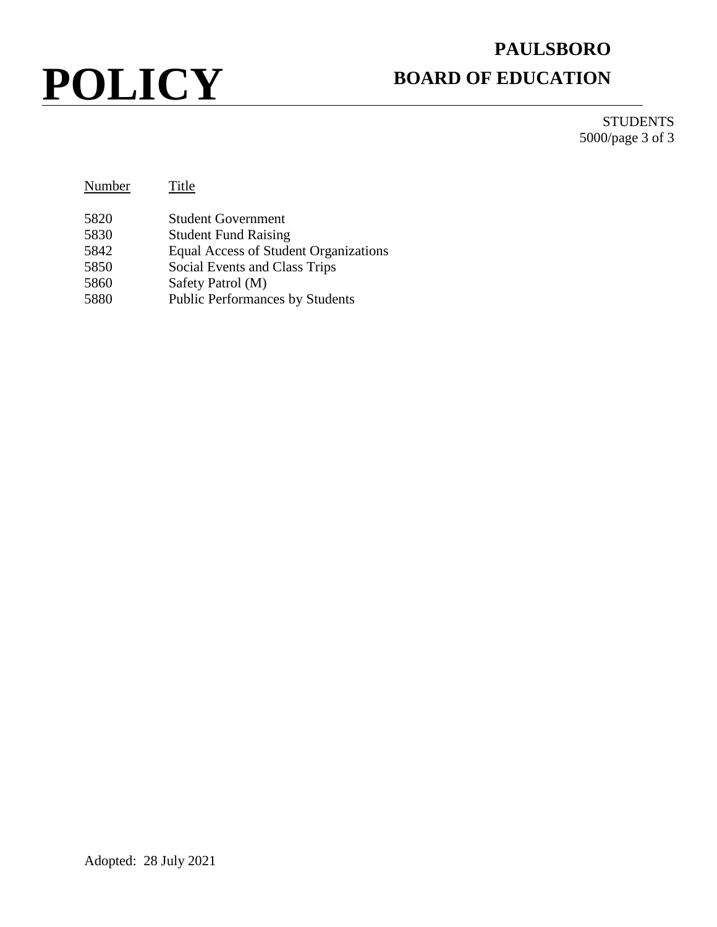## **PAULSBORO BOARD OF EDUCATION**

**STUDENTS** 5000/page 3 of 3

| Number | Title                                  |
|--------|----------------------------------------|
| 5820   | <b>Student Government</b>              |
| 5830   | <b>Student Fund Raising</b>            |
| 5842   | Equal Access of Student Organizations  |
| 5850   | Social Events and Class Trips          |
| 5860   | Safety Patrol (M)                      |
| 5880   | <b>Public Performances by Students</b> |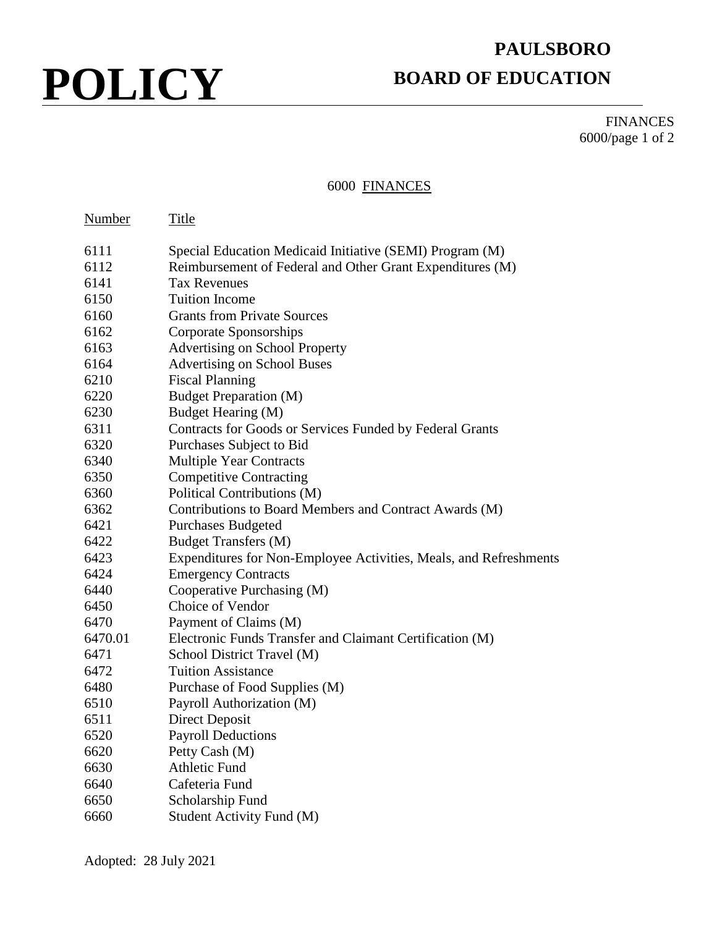### **PAULSBORO BOARD OF EDUCATION**

FINANCES 6000/page 1 of 2

#### 6000 FINANCES

| Number  | Title                                                             |
|---------|-------------------------------------------------------------------|
| 6111    | Special Education Medicaid Initiative (SEMI) Program (M)          |
| 6112    | Reimbursement of Federal and Other Grant Expenditures (M)         |
| 6141    | <b>Tax Revenues</b>                                               |
| 6150    | <b>Tuition Income</b>                                             |
| 6160    | <b>Grants from Private Sources</b>                                |
| 6162    | Corporate Sponsorships                                            |
| 6163    | <b>Advertising on School Property</b>                             |
| 6164    | <b>Advertising on School Buses</b>                                |
| 6210    | <b>Fiscal Planning</b>                                            |
| 6220    | <b>Budget Preparation (M)</b>                                     |
| 6230    | Budget Hearing (M)                                                |
| 6311    | Contracts for Goods or Services Funded by Federal Grants          |
| 6320    | Purchases Subject to Bid                                          |
| 6340    | <b>Multiple Year Contracts</b>                                    |
| 6350    | <b>Competitive Contracting</b>                                    |
| 6360    | Political Contributions (M)                                       |
| 6362    | Contributions to Board Members and Contract Awards (M)            |
| 6421    | <b>Purchases Budgeted</b>                                         |
| 6422    | <b>Budget Transfers (M)</b>                                       |
| 6423    | Expenditures for Non-Employee Activities, Meals, and Refreshments |
| 6424    | <b>Emergency Contracts</b>                                        |
| 6440    | Cooperative Purchasing (M)                                        |
| 6450    | Choice of Vendor                                                  |
| 6470    | Payment of Claims (M)                                             |
| 6470.01 | Electronic Funds Transfer and Claimant Certification (M)          |
| 6471    | School District Travel (M)                                        |
| 6472    | <b>Tuition Assistance</b>                                         |
| 6480    | Purchase of Food Supplies (M)                                     |
| 6510    | Payroll Authorization (M)                                         |
| 6511    | Direct Deposit                                                    |
| 6520    | <b>Payroll Deductions</b>                                         |
| 6620    | Petty Cash (M)                                                    |
| 6630    | <b>Athletic Fund</b>                                              |
| 6640    | Cafeteria Fund                                                    |
| 6650    | Scholarship Fund                                                  |
| 6660    | Student Activity Fund (M)                                         |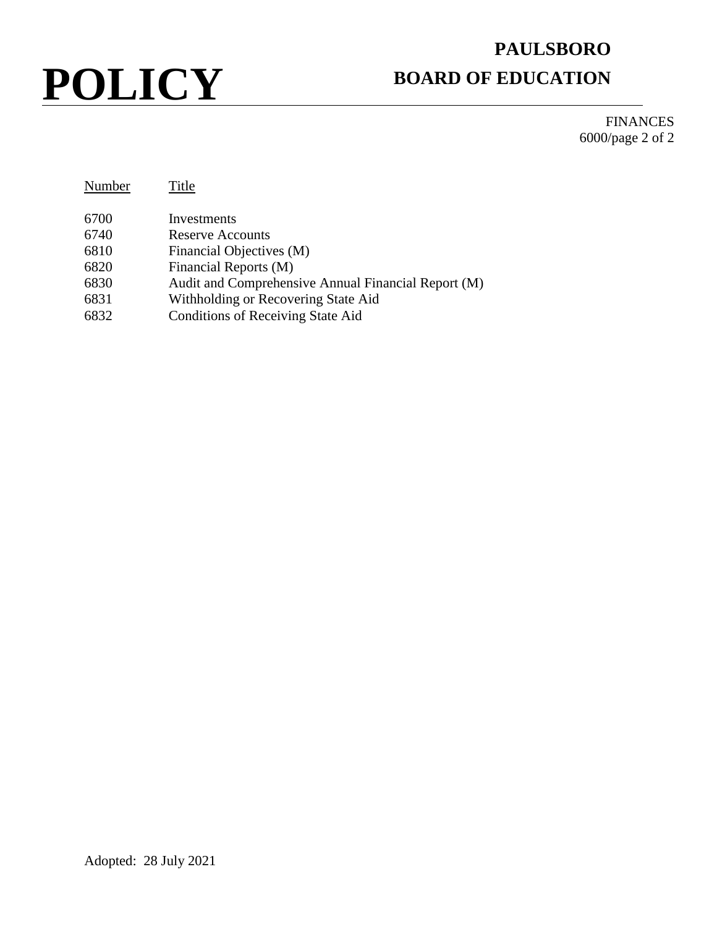## **PAULSBORO BOARD OF EDUCATION**

FINANCES 6000/page 2 of 2

| Number | Title                                               |
|--------|-----------------------------------------------------|
| 6700   | Investments                                         |
| 6740   | <b>Reserve Accounts</b>                             |
| 6810   | Financial Objectives (M)                            |
| 6820   | Financial Reports (M)                               |
| 6830   | Audit and Comprehensive Annual Financial Report (M) |
| 6831   | Withholding or Recovering State Aid                 |
| 6832   | Conditions of Receiving State Aid                   |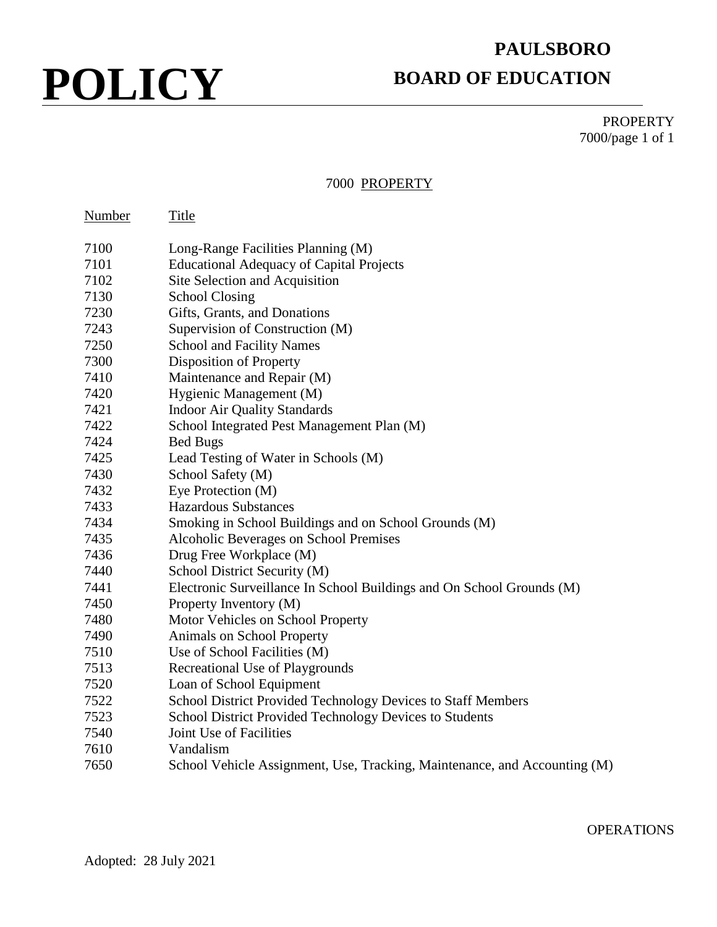## **PAULSBORO BOARD OF EDUCATION**

PROPERTY 7000/page 1 of 1

### 7000 PROPERTY

| Number | Title                                                                     |
|--------|---------------------------------------------------------------------------|
| 7100   | Long-Range Facilities Planning (M)                                        |
| 7101   | <b>Educational Adequacy of Capital Projects</b>                           |
| 7102   | Site Selection and Acquisition                                            |
| 7130   | <b>School Closing</b>                                                     |
| 7230   | Gifts, Grants, and Donations                                              |
| 7243   | Supervision of Construction (M)                                           |
| 7250   | <b>School and Facility Names</b>                                          |
| 7300   | Disposition of Property                                                   |
| 7410   | Maintenance and Repair (M)                                                |
| 7420   | Hygienic Management (M)                                                   |
| 7421   | <b>Indoor Air Quality Standards</b>                                       |
| 7422   | School Integrated Pest Management Plan (M)                                |
| 7424   | <b>Bed Bugs</b>                                                           |
| 7425   | Lead Testing of Water in Schools (M)                                      |
| 7430   | School Safety (M)                                                         |
| 7432   | Eye Protection (M)                                                        |
| 7433   | <b>Hazardous Substances</b>                                               |
| 7434   | Smoking in School Buildings and on School Grounds (M)                     |
| 7435   | Alcoholic Beverages on School Premises                                    |
| 7436   | Drug Free Workplace (M)                                                   |
| 7440   | School District Security (M)                                              |
| 7441   | Electronic Surveillance In School Buildings and On School Grounds (M)     |
| 7450   | Property Inventory (M)                                                    |
| 7480   | Motor Vehicles on School Property                                         |
| 7490   | Animals on School Property                                                |
| 7510   | Use of School Facilities (M)                                              |
| 7513   | Recreational Use of Playgrounds                                           |
| 7520   | Loan of School Equipment                                                  |
| 7522   | School District Provided Technology Devices to Staff Members              |
| 7523   | School District Provided Technology Devices to Students                   |
| 7540   | Joint Use of Facilities                                                   |
| 7610   | Vandalism                                                                 |
| 7650   | School Vehicle Assignment, Use, Tracking, Maintenance, and Accounting (M) |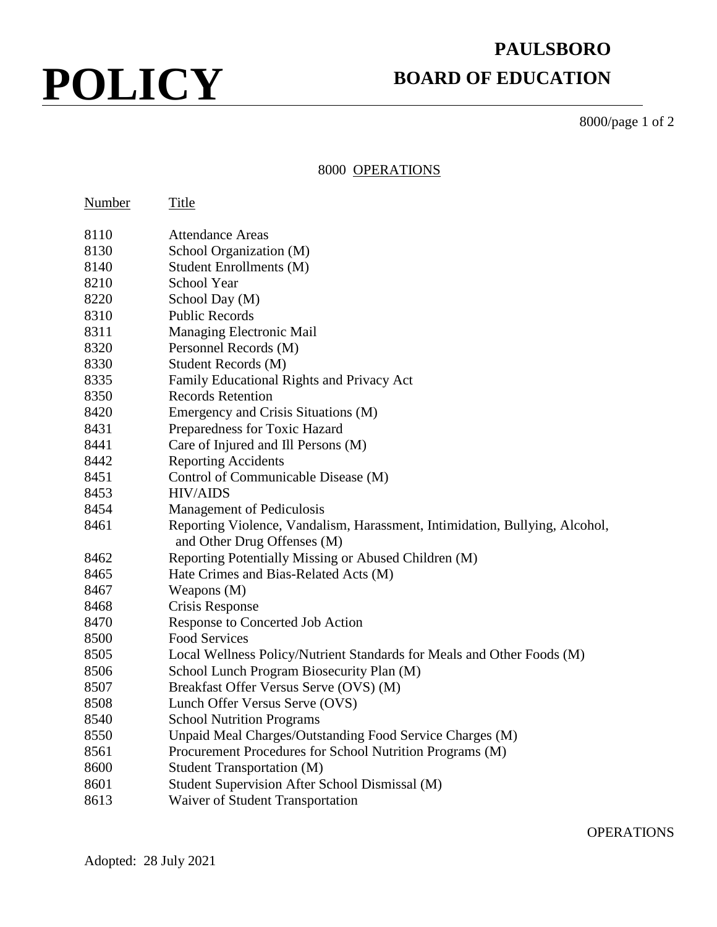### **PAULSBORO BOARD OF EDUCATION**

8000/page 1 of 2

### 8000 OPERATIONS

| Number | Title                                                                       |
|--------|-----------------------------------------------------------------------------|
| 8110   | <b>Attendance Areas</b>                                                     |
| 8130   | School Organization (M)                                                     |
| 8140   | Student Enrollments (M)                                                     |
| 8210   | School Year                                                                 |
| 8220   | School Day (M)                                                              |
| 8310   | <b>Public Records</b>                                                       |
| 8311   | Managing Electronic Mail                                                    |
| 8320   | Personnel Records (M)                                                       |
| 8330   | Student Records (M)                                                         |
| 8335   | Family Educational Rights and Privacy Act                                   |
| 8350   | <b>Records Retention</b>                                                    |
| 8420   | Emergency and Crisis Situations (M)                                         |
| 8431   | Preparedness for Toxic Hazard                                               |
| 8441   | Care of Injured and Ill Persons (M)                                         |
| 8442   | <b>Reporting Accidents</b>                                                  |
| 8451   | Control of Communicable Disease (M)                                         |
| 8453   | <b>HIV/AIDS</b>                                                             |
| 8454   | <b>Management of Pediculosis</b>                                            |
| 8461   | Reporting Violence, Vandalism, Harassment, Intimidation, Bullying, Alcohol, |
|        | and Other Drug Offenses (M)                                                 |
| 8462   | Reporting Potentially Missing or Abused Children (M)                        |
| 8465   | Hate Crimes and Bias-Related Acts (M)                                       |
| 8467   | Weapons (M)                                                                 |
| 8468   | Crisis Response                                                             |
| 8470   | Response to Concerted Job Action                                            |
| 8500   | <b>Food Services</b>                                                        |
| 8505   | Local Wellness Policy/Nutrient Standards for Meals and Other Foods (M)      |
| 8506   | School Lunch Program Biosecurity Plan (M)                                   |
| 8507   | Breakfast Offer Versus Serve (OVS) (M)                                      |
| 8508   | Lunch Offer Versus Serve (OVS)                                              |
| 8540   | <b>School Nutrition Programs</b>                                            |
| 8550   | Unpaid Meal Charges/Outstanding Food Service Charges (M)                    |
| 8561   | Procurement Procedures for School Nutrition Programs (M)                    |
| 8600   | <b>Student Transportation (M)</b>                                           |
| 8601   | Student Supervision After School Dismissal (M)                              |
| 8613   | Waiver of Student Transportation                                            |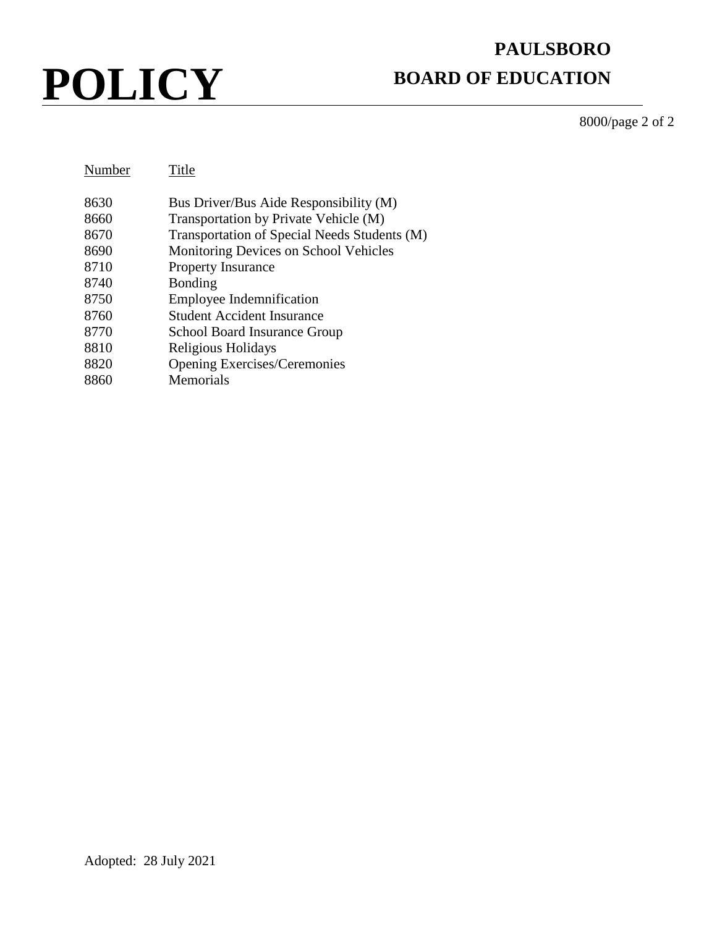### **PAULSBORO BOARD OF EDUCATION**

8000/page 2 of 2

| Number | Title                                        |
|--------|----------------------------------------------|
| 8630   | Bus Driver/Bus Aide Responsibility (M)       |
| 8660   | Transportation by Private Vehicle (M)        |
| 8670   | Transportation of Special Needs Students (M) |
| 8690   | Monitoring Devices on School Vehicles        |
| 8710   | <b>Property Insurance</b>                    |
| 8740   | Bonding                                      |
| 8750   | <b>Employee Indemnification</b>              |
| 8760   | <b>Student Accident Insurance</b>            |
| 8770   | School Board Insurance Group                 |
| 8810   | Religious Holidays                           |
| 8820   | <b>Opening Exercises/Ceremonies</b>          |
| 8860   | Memorials                                    |